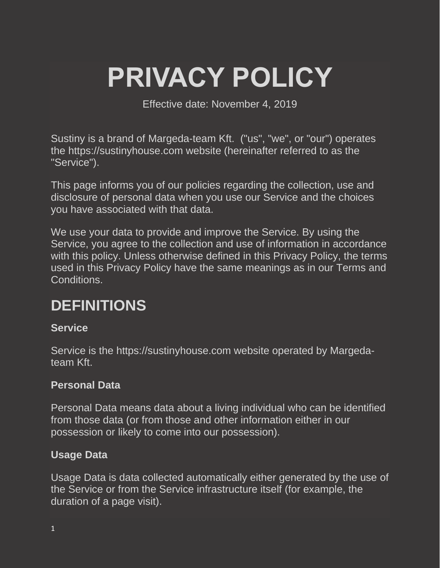# **PRIVACY POLICY**

Effective date: November 4, 2019

Sustiny is a brand of Margeda-team Kft. ("us", "we", or "our") operates the https://sustinyhouse.com website (hereinafter referred to as the "Service").

This page informs you of our policies regarding the collection, use and disclosure of personal data when you use our Service and the choices you have associated with that data.

We use your data to provide and improve the Service. By using the Service, you agree to the collection and use of information in accordance with this policy. Unless otherwise defined in this Privacy Policy, the terms used in this Privacy Policy have the same meanings as in our Terms and Conditions.

### **DEFINITIONS**

#### **Service**

Service is the https://sustinyhouse.com website operated by Margedateam Kft.

#### **Personal Data**

Personal Data means data about a living individual who can be identified from those data (or from those and other information either in our possession or likely to come into our possession).

#### **Usage Data**

Usage Data is data collected automatically either generated by the use of the Service or from the Service infrastructure itself (for example, the duration of a page visit).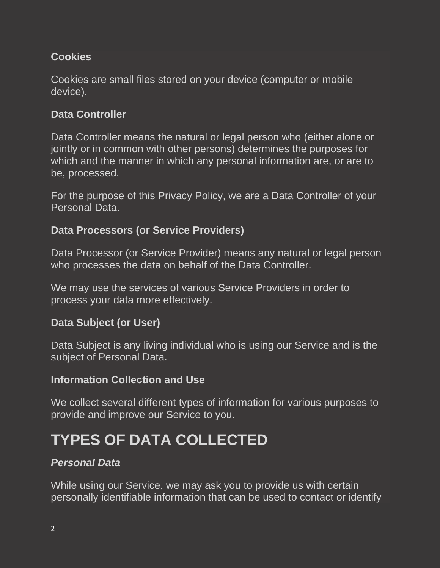#### **Cookies**

Cookies are small files stored on your device (computer or mobile device).

#### **Data Controller**

Data Controller means the natural or legal person who (either alone or jointly or in common with other persons) determines the purposes for which and the manner in which any personal information are, or are to be, processed.

For the purpose of this Privacy Policy, we are a Data Controller of your Personal Data.

#### **Data Processors (or Service Providers)**

Data Processor (or Service Provider) means any natural or legal person who processes the data on behalf of the Data Controller.

We may use the services of various Service Providers in order to process your data more effectively.

#### **Data Subject (or User)**

Data Subject is any living individual who is using our Service and is the subject of Personal Data.

#### **Information Collection and Use**

We collect several different types of information for various purposes to provide and improve our Service to you.

# **TYPES OF DATA COLLECTED**

#### *Personal Data*

While using our Service, we may ask you to provide us with certain personally identifiable information that can be used to contact or identify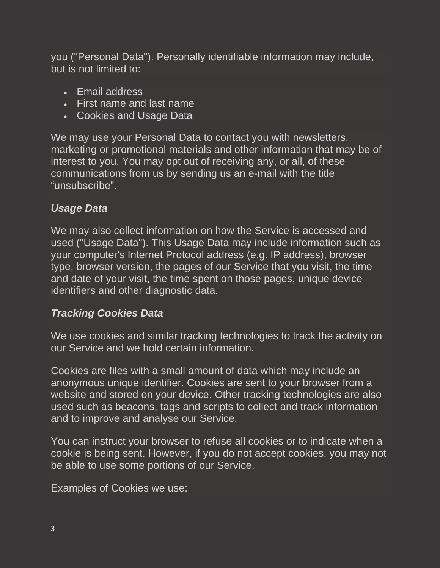you ("Personal Data"). Personally identifiable information may include, but is not limited to:

- Email address
- First name and last name
- Cookies and Usage Data

We may use your Personal Data to contact you with newsletters, marketing or promotional materials and other information that may be of interest to you. You may opt out of receiving any, or all, of these communications from us by sending us an e-mail with the title "unsubscribe".

#### *Usage Data*

We may also collect information on how the Service is accessed and used ("Usage Data"). This Usage Data may include information such as your computer's Internet Protocol address (e.g. IP address), browser type, browser version, the pages of our Service that you visit, the time and date of your visit, the time spent on those pages, unique device identifiers and other diagnostic data.

#### *Tracking Cookies Data*

We use cookies and similar tracking technologies to track the activity on our Service and we hold certain information.

Cookies are files with a small amount of data which may include an anonymous unique identifier. Cookies are sent to your browser from a website and stored on your device. Other tracking technologies are also used such as beacons, tags and scripts to collect and track information and to improve and analyse our Service.

You can instruct your browser to refuse all cookies or to indicate when a cookie is being sent. However, if you do not accept cookies, you may not be able to use some portions of our Service.

Examples of Cookies we use: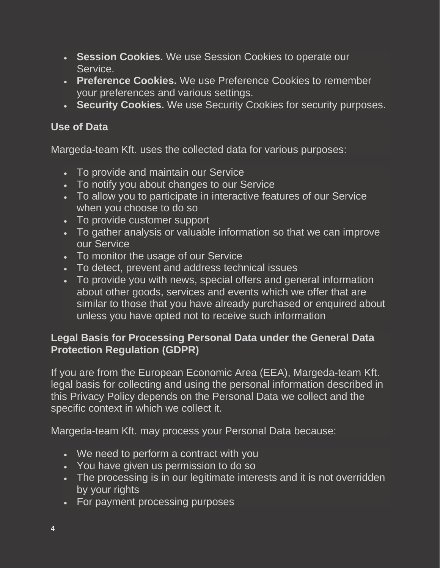- **Session Cookies.** We use Session Cookies to operate our Service.
- **Preference Cookies.** We use Preference Cookies to remember your preferences and various settings.
- **Security Cookies.** We use Security Cookies for security purposes.

#### **Use of Data**

Margeda-team Kft. uses the collected data for various purposes:

- To provide and maintain our Service
- To notify you about changes to our Service
- To allow you to participate in interactive features of our Service when you choose to do so
- To provide customer support
- To gather analysis or valuable information so that we can improve our Service
- To monitor the usage of our Service
- To detect, prevent and address technical issues
- To provide you with news, special offers and general information about other goods, services and events which we offer that are similar to those that you have already purchased or enquired about unless you have opted not to receive such information

#### **Legal Basis for Processing Personal Data under the General Data Protection Regulation (GDPR)**

If you are from the European Economic Area (EEA), Margeda-team Kft. legal basis for collecting and using the personal information described in this Privacy Policy depends on the Personal Data we collect and the specific context in which we collect it.

Margeda-team Kft. may process your Personal Data because:

- We need to perform a contract with you
- You have given us permission to do so
- The processing is in our legitimate interests and it is not overridden by your rights
- For payment processing purposes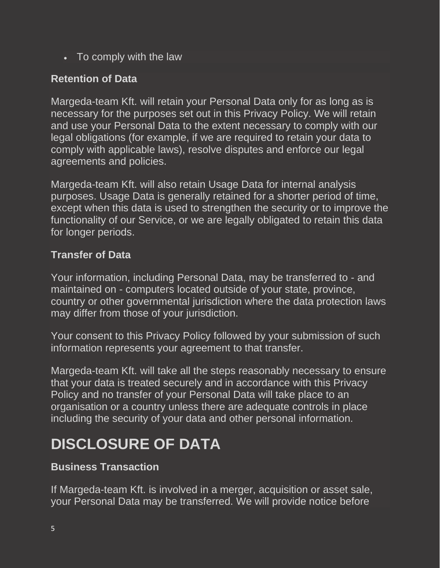• To comply with the law

#### **Retention of Data**

Margeda-team Kft. will retain your Personal Data only for as long as is necessary for the purposes set out in this Privacy Policy. We will retain and use your Personal Data to the extent necessary to comply with our legal obligations (for example, if we are required to retain your data to comply with applicable laws), resolve disputes and enforce our legal agreements and policies.

Margeda-team Kft. will also retain Usage Data for internal analysis purposes. Usage Data is generally retained for a shorter period of time, except when this data is used to strengthen the security or to improve the functionality of our Service, or we are legally obligated to retain this data for longer periods.

#### **Transfer of Data**

Your information, including Personal Data, may be transferred to - and maintained on - computers located outside of your state, province, country or other governmental jurisdiction where the data protection laws may differ from those of your jurisdiction.

Your consent to this Privacy Policy followed by your submission of such information represents your agreement to that transfer.

Margeda-team Kft. will take all the steps reasonably necessary to ensure that your data is treated securely and in accordance with this Privacy Policy and no transfer of your Personal Data will take place to an organisation or a country unless there are adequate controls in place including the security of your data and other personal information.

## **DISCLOSURE OF DATA**

#### **Business Transaction**

If Margeda-team Kft. is involved in a merger, acquisition or asset sale, your Personal Data may be transferred. We will provide notice before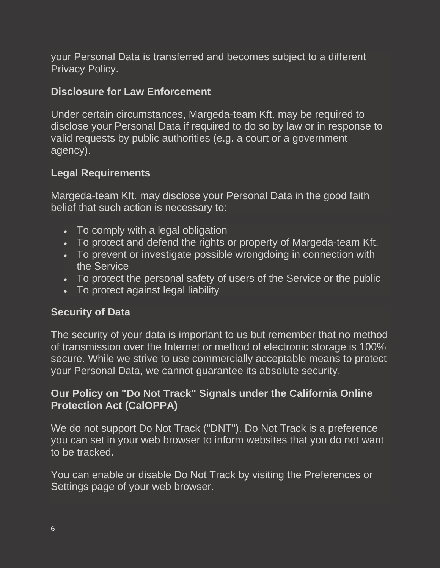your Personal Data is transferred and becomes subject to a different Privacy Policy.

#### **Disclosure for Law Enforcement**

Under certain circumstances, Margeda-team Kft. may be required to disclose your Personal Data if required to do so by law or in response to valid requests by public authorities (e.g. a court or a government agency).

#### **Legal Requirements**

Margeda-team Kft. may disclose your Personal Data in the good faith belief that such action is necessary to:

- To comply with a legal obligation
- To protect and defend the rights or property of Margeda-team Kft.
- To prevent or investigate possible wrongdoing in connection with the Service
- To protect the personal safety of users of the Service or the public
- To protect against legal liability

#### **Security of Data**

The security of your data is important to us but remember that no method of transmission over the Internet or method of electronic storage is 100% secure. While we strive to use commercially acceptable means to protect your Personal Data, we cannot guarantee its absolute security.

#### **Our Policy on "Do Not Track" Signals under the California Online Protection Act (CalOPPA)**

We do not support Do Not Track ("DNT"). Do Not Track is a preference you can set in your web browser to inform websites that you do not want to be tracked.

You can enable or disable Do Not Track by visiting the Preferences or Settings page of your web browser.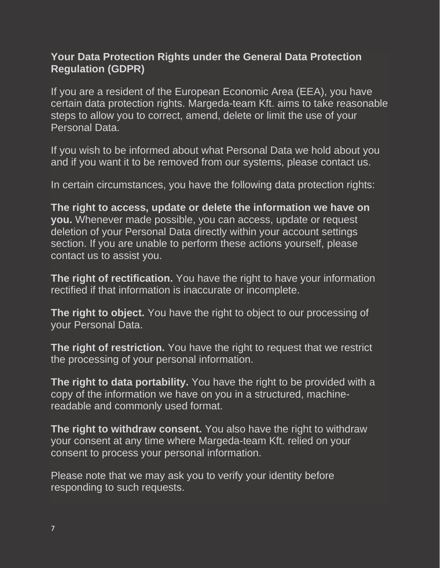#### **Your Data Protection Rights under the General Data Protection Regulation (GDPR)**

If you are a resident of the European Economic Area (EEA), you have certain data protection rights. Margeda-team Kft. aims to take reasonable steps to allow you to correct, amend, delete or limit the use of your Personal Data.

If you wish to be informed about what Personal Data we hold about you and if you want it to be removed from our systems, please contact us.

In certain circumstances, you have the following data protection rights:

**The right to access, update or delete the information we have on you.** Whenever made possible, you can access, update or request deletion of your Personal Data directly within your account settings section. If you are unable to perform these actions yourself, please contact us to assist you.

**The right of rectification.** You have the right to have your information rectified if that information is inaccurate or incomplete.

**The right to object.** You have the right to object to our processing of your Personal Data.

**The right of restriction.** You have the right to request that we restrict the processing of your personal information.

**The right to data portability.** You have the right to be provided with a copy of the information we have on you in a structured, machinereadable and commonly used format.

**The right to withdraw consent.** You also have the right to withdraw your consent at any time where Margeda-team Kft. relied on your consent to process your personal information.

Please note that we may ask you to verify your identity before responding to such requests.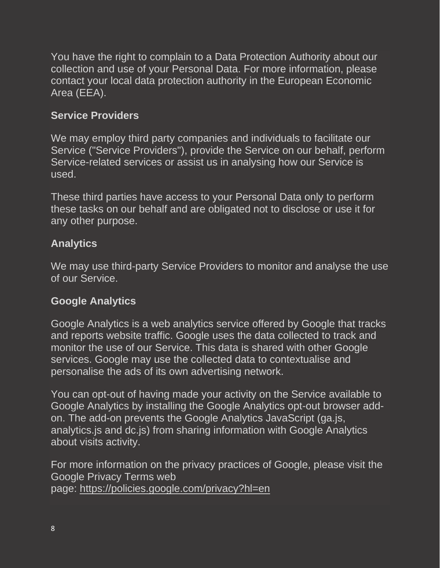You have the right to complain to a Data Protection Authority about our collection and use of your Personal Data. For more information, please contact your local data protection authority in the European Economic Area (EEA).

#### **Service Providers**

We may employ third party companies and individuals to facilitate our Service ("Service Providers"), provide the Service on our behalf, perform Service-related services or assist us in analysing how our Service is used.

These third parties have access to your Personal Data only to perform these tasks on our behalf and are obligated not to disclose or use it for any other purpose.

#### **Analytics**

We may use third-party Service Providers to monitor and analyse the use of our Service.

#### **Google Analytics**

Google Analytics is a web analytics service offered by Google that tracks and reports website traffic. Google uses the data collected to track and monitor the use of our Service. This data is shared with other Google services. Google may use the collected data to contextualise and personalise the ads of its own advertising network.

You can opt-out of having made your activity on the Service available to Google Analytics by installing the Google Analytics opt-out browser addon. The add-on prevents the Google Analytics JavaScript (ga.js, analytics.js and dc.js) from sharing information with Google Analytics about visits activity.

For more information on the privacy practices of Google, please visit the Google Privacy Terms web page: <https://policies.google.com/privacy?hl=en>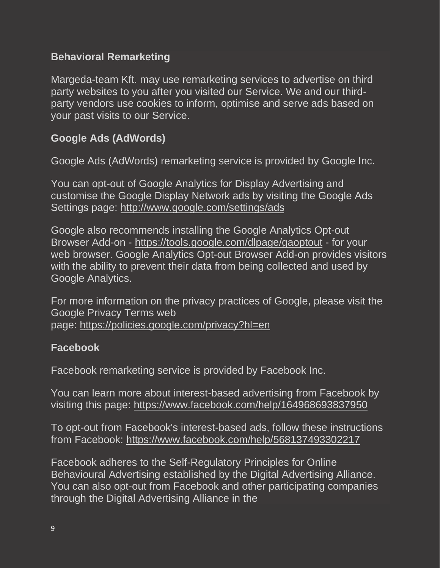#### **Behavioral Remarketing**

Margeda-team Kft. may use remarketing services to advertise on third party websites to you after you visited our Service. We and our thirdparty vendors use cookies to inform, optimise and serve ads based on your past visits to our Service.

#### **Google Ads (AdWords)**

Google Ads (AdWords) remarketing service is provided by Google Inc.

You can opt-out of Google Analytics for Display Advertising and customise the Google Display Network ads by visiting the Google Ads Settings page: <http://www.google.com/settings/ads>

Google also recommends installing the Google Analytics Opt-out Browser Add-on - <https://tools.google.com/dlpage/gaoptout> - for your web browser. Google Analytics Opt-out Browser Add-on provides visitors with the ability to prevent their data from being collected and used by Google Analytics.

For more information on the privacy practices of Google, please visit the Google Privacy Terms web page: <https://policies.google.com/privacy?hl=en>

#### **Facebook**

Facebook remarketing service is provided by Facebook Inc.

You can learn more about interest-based advertising from Facebook by visiting this page: <https://www.facebook.com/help/164968693837950>

To opt-out from Facebook's interest-based ads, follow these instructions from Facebook: <https://www.facebook.com/help/568137493302217>

Facebook adheres to the Self-Regulatory Principles for Online Behavioural Advertising established by the Digital Advertising Alliance. You can also opt-out from Facebook and other participating companies through the Digital Advertising Alliance in the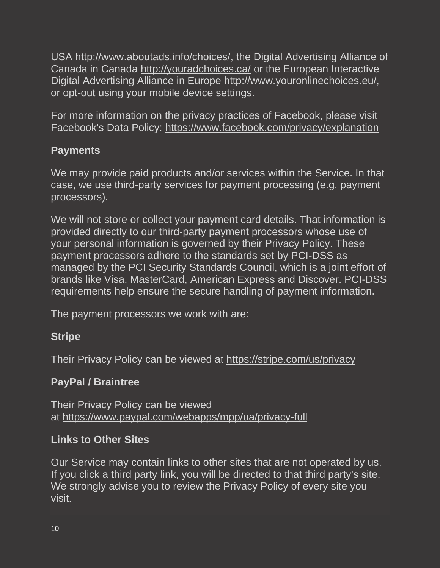USA [http://www.aboutads.info/choices/,](http://www.aboutads.info/choices/) the Digital Advertising Alliance of Canada in Canada <http://youradchoices.ca/> or the European Interactive Digital Advertising Alliance in Europe [http://www.youronlinechoices.eu/,](http://www.youronlinechoices.eu/) or opt-out using your mobile device settings.

For more information on the privacy practices of Facebook, please visit Facebook's Data Policy: <https://www.facebook.com/privacy/explanation>

#### **Payments**

We may provide paid products and/or services within the Service. In that case, we use third-party services for payment processing (e.g. payment processors).

We will not store or collect your payment card details. That information is provided directly to our third-party payment processors whose use of your personal information is governed by their Privacy Policy. These payment processors adhere to the standards set by PCI-DSS as managed by the PCI Security Standards Council, which is a joint effort of brands like Visa, MasterCard, American Express and Discover. PCI-DSS requirements help ensure the secure handling of payment information.

The payment processors we work with are:

#### **Stripe**

Their Privacy Policy can be viewed at <https://stripe.com/us/privacy>

#### **PayPal / Braintree**

Their Privacy Policy can be viewed at <https://www.paypal.com/webapps/mpp/ua/privacy-full>

#### **Links to Other Sites**

Our Service may contain links to other sites that are not operated by us. If you click a third party link, you will be directed to that third party's site. We strongly advise you to review the Privacy Policy of every site you visit.